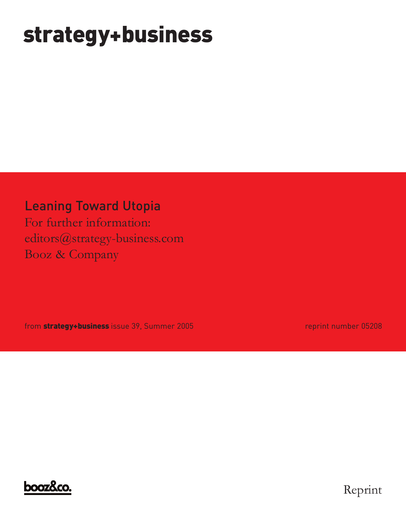# **strategy+business**

Leaning Toward Utopia

For further information: editors@strategy-business.com Booz & Company

from **strategy+business** issue 39, Summer 2005 reprint number 05208



Reprint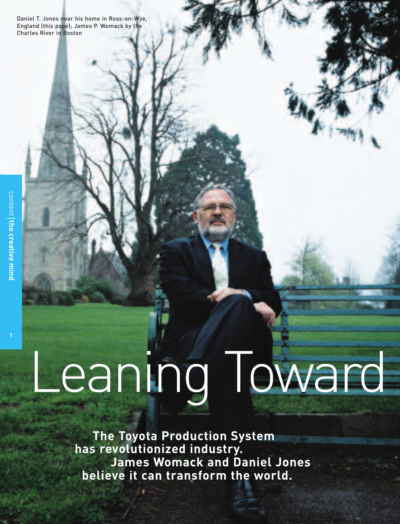Daniel T. Jones near his home in Ross-on-Wye, England (this page); James P. Womack by the Charles River in Boston

# Leaning Toward

**The Toyota Production System has revolutionized industry. James Womack and Daniel Jones believe it can transform the world.**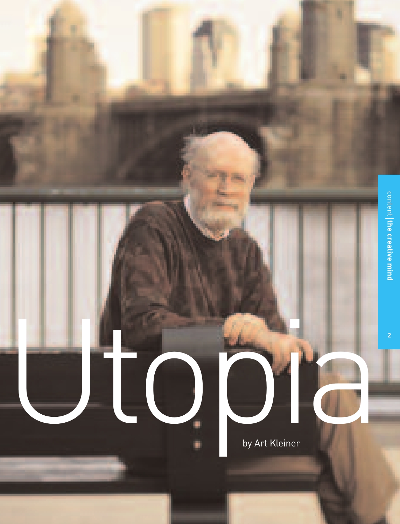

by Art Kleiner

Utopia

۰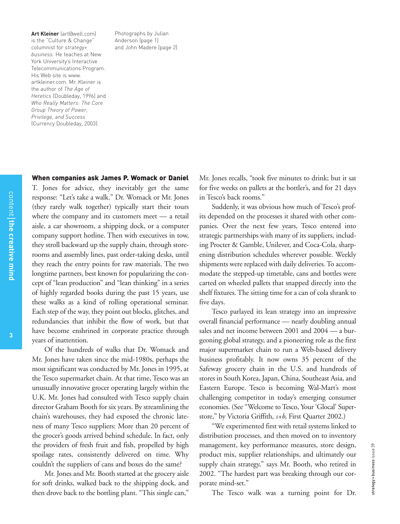**Art Kleiner** (art@well.com) is the "Culture & Change" columnist for *strategy+ business.* He teaches at New York University's Interactive Telecommunications Program. His Web site is www. artkleiner.com. Mr. Kleiner is the author of *The Age of Heretics* (Doubleday, 1996) and *Who Really Matters: The Core Group Theory of Power, Privilege, and Success* (Currency Doubleday, 2003).

Photographs by Julian Anderson (page 1) and John Madere (page 2)

#### **When companies ask James P. Womack or Daniel**

T. Jones for advice, they inevitably get the same response: "Let's take a walk." Dr. Womack or Mr. Jones (they rarely walk together) typically start their tours where the company and its customers meet — a retail aisle, a car showroom, a shipping dock, or a computer company support hotline. Then with executives in tow, they stroll backward up the supply chain, through storerooms and assembly lines, past order-taking desks, until they reach the entry points for raw materials. The two longtime partners, best known for popularizing the concept of "lean production" and "lean thinking" in a series of highly regarded books during the past 15 years, use these walks as a kind of rolling operational seminar. Each step of the way, they point out blocks, glitches, and redundancies that inhibit the flow of work, but that have become enshrined in corporate practice through years of inattention.

Of the hundreds of walks that Dr. Womack and Mr. Jones have taken since the mid-1980s, perhaps the most significant was conducted by Mr. Jones in 1995, at the Tesco supermarket chain. At that time, Tesco was an unusually innovative grocer operating largely within the U.K. Mr. Jones had consulted with Tesco supply chain director Graham Booth for six years. By streamlining the chain's warehouses, they had exposed the chronic lateness of many Tesco suppliers: More than 20 percent of the grocer's goods arrived behind schedule. In fact, only the providers of fresh fruit and fish, propelled by high spoilage rates, consistently delivered on time. Why couldn't the suppliers of cans and boxes do the same?

Mr. Jones and Mr. Booth started at the grocery aisle for soft drinks, walked back to the shipping dock, and then drove back to the bottling plant. "This single can,"

Mr. Jones recalls, "took five minutes to drink; but it sat for five weeks on pallets at the bottler's, and for 21 days in Tesco's back rooms."

Suddenly, it was obvious how much of Tesco's profits depended on the processes it shared with other companies. Over the next few years, Tesco entered into strategic partnerships with many of its suppliers, including Procter & Gamble, Unilever, and Coca-Cola, sharpening distribution schedules wherever possible. Weekly shipments were replaced with daily deliveries. To accommodate the stepped-up timetable, cans and bottles were carted on wheeled pallets that snapped directly into the shelf fixtures. The sitting time for a can of cola shrank to five days.

Tesco parlayed its lean strategy into an impressive overall financial performance — nearly doubling annual sales and net income between 2001 and 2004 — a burgeoning global strategy, and a pioneering role as the first major supermarket chain to run a Web-based delivery business profitably. It now owns 35 percent of the Safeway grocery chain in the U.S. and hundreds of stores in South Korea, Japan, China, Southeast Asia, and Eastern Europe. Tesco is becoming Wal-Mart's most challenging competitor in today's emerging consumer economies. (See "Welcome to Tesco, Your 'Glocal' Superstore," by Victoria Griffith, *s+b*, First Quarter 2002.)

"We experimented first with retail systems linked to distribution processes, and then moved on to inventory management, key performance measures, store design, product mix, supplier relationships, and ultimately our supply chain strategy," says Mr. Booth, who retired in 2002. "The hardest part was breaking through our corporate mind-set."

The Tesco walk was a turning point for Dr.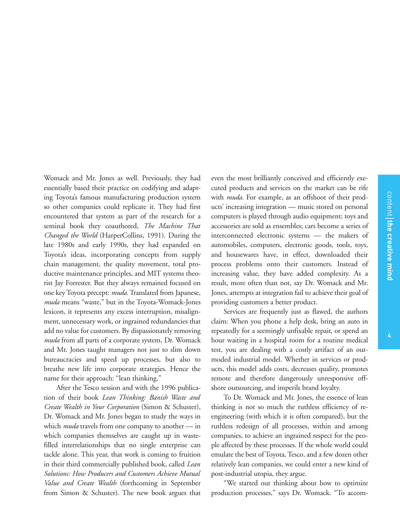Womack and Mr. Jones as well. Previously, they had essentially based their practice on codifying and adapting Toyota's famous manufacturing production system so other companies could replicate it. They had first encountered that system as part of the research for a seminal book they coauthored, *The Machine That Changed the World* (HarperCollins, 1991). During the late 1980s and early 1990s, they had expanded on Toyota's ideas, incorporating concepts from supply chain management, the quality movement, total productive maintenance principles, and MIT systems theorist Jay Forrester. But they always remained focused on one key Toyota precept: *muda.* Translated from Japanese, *muda* means "waste," but in the Toyota-Womack-Jones lexicon, it represents any excess interruption, misalignment, unnecessary work, or ingrained redundancies that add no value for customers. By dispassionately removing *muda* from all parts of a corporate system, Dr. Womack and Mr. Jones taught managers not just to slim down bureaucracies and speed up processes, but also to breathe new life into corporate strategies. Hence the name for their approach: "lean thinking."

After the Tesco session and with the 1996 publication of their book *Lean Thinking: Banish Waste and Create Wealth in Your Corporation* (Simon & Schuster), Dr. Womack and Mr. Jones began to study the ways in which *muda* travels from one company to another — in which companies themselves are caught up in wastefilled interrelationships that no single enterprise can tackle alone. This year, that work is coming to fruition in their third commercially published book, called *Lean Solutions: How Producers and Customers Achieve Mutual Value and Create Wealth* (forthcoming in September from Simon & Schuster). The new book argues that even the most brilliantly conceived and efficiently executed products and services on the market can be rife with *muda.* For example, as an offshoot of their products' increasing integration — music stored on personal computers is played through audio equipment; toys and accessories are sold as ensembles; cars become a series of interconnected electronic systems — the makers of automobiles, computers, electronic goods, tools, toys, and housewares have, in effect, downloaded their process problems onto their customers. Instead of increasing value, they have added complexity. As a result, more often than not, say Dr. Womack and Mr. Jones, attempts at integration fail to achieve their goal of providing customers a better product.

Services are frequently just as flawed, the authors claim: When you phone a help desk, bring an auto in repeatedly for a seemingly unfixable repair, or spend an hour waiting in a hospital room for a routine medical test, you are dealing with a costly artifact of an outmoded industrial model. Whether in services or products, this model adds costs, decreases quality, promotes remote and therefore dangerously unresponsive offshore outsourcing, and imperils brand loyalty.

To Dr. Womack and Mr. Jones, the essence of lean thinking is not so much the ruthless efficiency of reengineering (with which it is often compared), but the ruthless redesign of all processes, within and among companies, to achieve an ingrained respect for the people affected by these processes. If the whole world could emulate the best of Toyota, Tesco, and a few dozen other relatively lean companies, we could enter a new kind of post-industrial utopia, they argue.

"We started out thinking about how to optimize production processes," says Dr. Womack. "To accom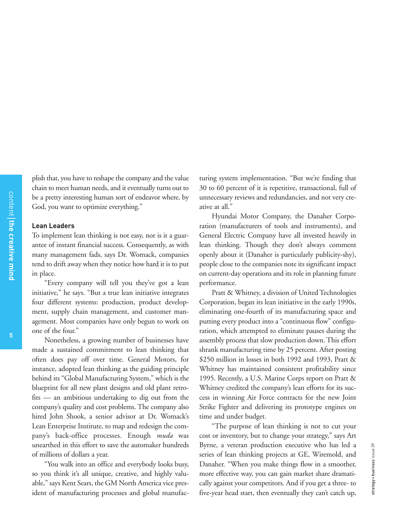plish that, you have to reshape the company and the value chain to meet human needs, and it eventually turns out to be a pretty interesting human sort of endeavor where, by God, you want to optimize everything."

#### **Lean Leaders**

To implement lean thinking is not easy, nor is it a guarantee of instant financial success. Consequently, as with many management fads, says Dr. Womack, companies tend to drift away when they notice how hard it is to put in place.

"Every company will tell you they've got a lean initiative," he says. "But a true lean initiative integrates four different systems: production, product development, supply chain management, and customer management. Most companies have only begun to work on one of the four."

Nonetheless, a growing number of businesses have made a sustained commitment to lean thinking that often does pay off over time. General Motors, for instance, adopted lean thinking as the guiding principle behind its "Global Manufacturing System," which is the blueprint for all new plant designs and old plant retrofits — an ambitious undertaking to dig out from the company's quality and cost problems. The company also hired John Shook, a senior advisor at Dr. Womack's Lean Enterprise Institute, to map and redesign the company's back-office processes. Enough *muda* was unearthed in this effort to save the automaker hundreds of millions of dollars a year.

"You walk into an office and everybody looks busy, so you think it's all unique, creative, and highly valuable," says Kent Sears, the GM North America vice president of manufacturing processes and global manufacturing system implementation. "But we're finding that 30 to 60 percent of it is repetitive, transactional, full of unnecessary reviews and redundancies, and not very creative at all."

Hyundai Motor Company, the Danaher Corporation (manufacturers of tools and instruments), and General Electric Company have all invested heavily in lean thinking. Though they don't always comment openly about it (Danaher is particularly publicity-shy), people close to the companies note its significant impact on current-day operations and its role in planning future performance.

Pratt & Whitney, a division of United Technologies Corporation, began its lean initiative in the early 1990s, eliminating one-fourth of its manufacturing space and putting every product into a "continuous flow" configuration, which attempted to eliminate pauses during the assembly process that slow production down. This effort shrank manufacturing time by 25 percent. After posting \$250 million in losses in both 1992 and 1993, Pratt & Whitney has maintained consistent profitability since 1995. Recently, a U.S. Marine Corps report on Pratt & Whitney credited the company's lean efforts for its success in winning Air Force contracts for the new Joint Strike Fighter and delivering its prototype engines on time and under budget.

"The purpose of lean thinking is not to cut your cost or inventory, but to change your strategy," says Art Byrne, a veteran production executive who has led a series of lean thinking projects at GE, Wiremold, and Danaher. "When you make things flow in a smoother, more effective way, you can gain market share dramatically against your competitors. And if you get a three- to five-year head start, then eventually they can't catch up,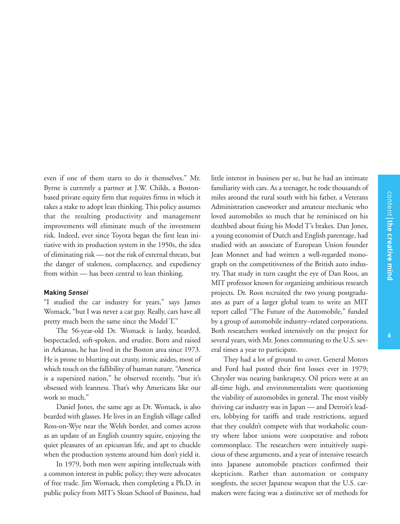even if one of them starts to do it themselves." Mr. Byrne is currently a partner at J.W. Childs, a Bostonbased private equity firm that requires firms in which it takes a stake to adopt lean thinking. This policy assumes that the resulting productivity and management improvements will eliminate much of the investment risk. Indeed, ever since Toyota began the first lean initiative with its production system in the 1950s, the idea of eliminating risk — not the risk of external threats, but the danger of staleness, complacency, and expediency from within — has been central to lean thinking.

#### **Making** *Sensei*

"I studied the car industry for years," says James Womack, "but I was never a car guy. Really, cars have all pretty much been the same since the Model T."

The 56-year-old Dr. Womack is lanky, bearded, bespectacled, soft-spoken, and erudite. Born and raised in Arkansas, he has lived in the Boston area since 1973. He is prone to blurting out crusty, ironic asides, most of which touch on the fallibility of human nature. "America is a supersized nation," he observed recently, "but it's obsessed with leanness. That's why Americans like our work so much."

Daniel Jones, the same age as Dr. Womack, is also bearded with glasses. He lives in an English village called Ross-on-Wye near the Welsh border, and comes across as an update of an English country squire, enjoying the quiet pleasures of an epicurean life, and apt to chuckle when the production systems around him don't yield it.

In 1979, both men were aspiring intellectuals with a common interest in public policy; they were advocates of free trade. Jim Womack, then completing a Ph.D. in public policy from MIT's Sloan School of Business, had little interest in business per se, but he had an intimate familiarity with cars. As a teenager, he rode thousands of miles around the rural south with his father, a Veterans Administration caseworker and amateur mechanic who loved automobiles so much that he reminisced on his deathbed about fixing his Model T's brakes. Dan Jones, a young economist of Dutch and English parentage, had studied with an associate of European Union founder Jean Monnet and had written a well-regarded monograph on the competitiveness of the British auto industry. That study in turn caught the eye of Dan Roos, an MIT professor known for organizing ambitious research projects. Dr. Roos recruited the two young postgraduates as part of a larger global team to write an MIT report called "The Future of the Automobile," funded by a group of automobile industry–related corporations. Both researchers worked intensively on the project for several years, with Mr. Jones commuting to the U.S. several times a year to participate.

They had a lot of ground to cover. General Motors and Ford had posted their first losses ever in 1979; Chrysler was nearing bankruptcy. Oil prices were at an all-time high, and environmentalists were questioning the viability of automobiles in general. The most visibly thriving car industry was in Japan — and Detroit's leaders, lobbying for tariffs and trade restrictions, argued that they couldn't compete with that workaholic country where labor unions were cooperative and robots commonplace. The researchers were intuitively suspicious of these arguments, and a year of intensive research into Japanese automobile practices confirmed their skepticism. Rather than automation or company songfests, the secret Japanese weapon that the U.S. carmakers were facing was a distinctive set of methods for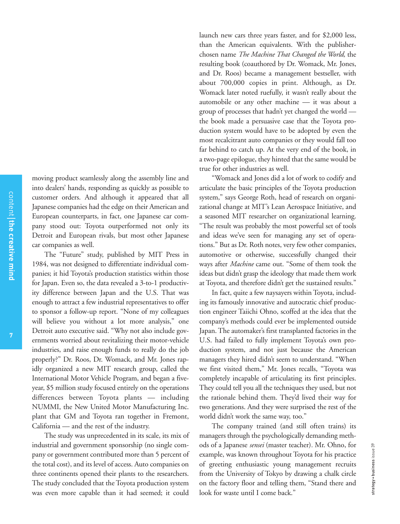moving product seamlessly along the assembly line and into dealers' hands, responding as quickly as possible to customer orders. And although it appeared that all Japanese companies had the edge on their American and European counterparts, in fact, one Japanese car company stood out: Toyota outperformed not only its Detroit and European rivals, but most other Japanese car companies as well.

The "Future" study, published by MIT Press in 1984, was not designed to differentiate individual companies; it hid Toyota's production statistics within those for Japan. Even so, the data revealed a 3-to-1 productivity difference between Japan and the U.S. That was enough to attract a few industrial representatives to offer to sponsor a follow-up report. "None of my colleagues will believe you without a lot more analysis," one Detroit auto executive said. "Why not also include governments worried about revitalizing their motor-vehicle industries, and raise enough funds to really do the job properly?" Dr. Roos, Dr. Womack, and Mr. Jones rapidly organized a new MIT research group, called the International Motor Vehicle Program, and began a fiveyear, \$5 million study focused entirely on the operations differences between Toyota plants — including NUMMI, the New United Motor Manufacturing Inc. plant that GM and Toyota ran together in Fremont, California — and the rest of the industry.

The study was unprecedented in its scale, its mix of industrial and government sponsorship (no single company or government contributed more than 5 percent of the total cost), and its level of access. Auto companies on three continents opened their plants to the researchers. The study concluded that the Toyota production system was even more capable than it had seemed; it could

launch new cars three years faster, and for \$2,000 less, than the American equivalents. With the publisherchosen name *The Machine That Changed the World,* the resulting book (coauthored by Dr. Womack, Mr. Jones, and Dr. Roos) became a management bestseller, with about 700,000 copies in print. Although, as Dr. Womack later noted ruefully, it wasn't really about the automobile or any other machine — it was about a group of processes that hadn't yet changed the world the book made a persuasive case that the Toyota production system would have to be adopted by even the most recalcitrant auto companies or they would fall too far behind to catch up. At the very end of the book, in a two-page epilogue, they hinted that the same would be true for other industries as well.

"Womack and Jones did a lot of work to codify and articulate the basic principles of the Toyota production system," says George Roth, head of research on organizational change at MIT's Lean Aerospace Initiative, and a seasoned MIT researcher on organizational learning. "The result was probably the most powerful set of tools and ideas we've seen for managing any set of operations." But as Dr. Roth notes, very few other companies, automotive or otherwise, successfully changed their ways after *Machine* came out. "Some of them took the ideas but didn't grasp the ideology that made them work at Toyota, and therefore didn't get the sustained results."

In fact, quite a few naysayers within Toyota, including its famously innovative and autocratic chief production engineer Taiichi Ohno, scoffed at the idea that the company's methods could ever be implemented outside Japan. The automaker's first transplanted factories in the U.S. had failed to fully implement Toyota's own production system, and not just because the American managers they hired didn't seem to understand. "When we first visited them," Mr. Jones recalls, "Toyota was completely incapable of articulating its first principles. They could tell you all the techniques they used, but not the rationale behind them. They'd lived their way for two generations. And they were surprised the rest of the world didn't work the same way, too."

The company trained (and still often trains) its managers through the psychologically demanding methods of a Japanese *sensei* (master teacher)*.* Mr. Ohno, for example, was known throughout Toyota for his practice of greeting enthusiastic young management recruits from the University of Tokyo by drawing a chalk circle on the factory floor and telling them, "Stand there and look for waste until I come back."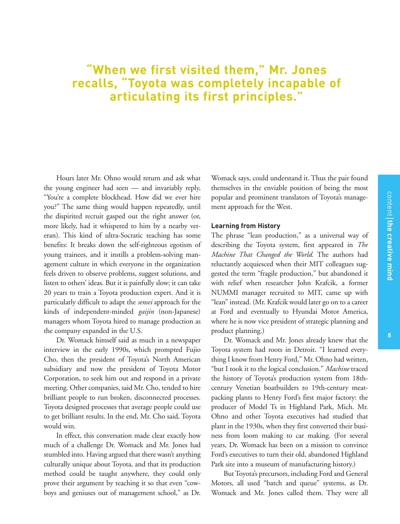**cre**

**ativ e**

**min d**

## **"When we first visited them," Mr. Jones recalls, "Toyota was completely incapable of articulating its first principles."**

Hours later Mr. Ohno would return and ask what the young engineer had seen — and invariably reply, "You're a complete blockhead. How did we ever hire you?" The same thing would happen repeatedly, until the dispirited recruit gasped out the right answer (or, more likely, had it whispered to him by a nearby veteran). This kind of ultra-Socratic teaching has some benefits: It breaks down the self-righteous egotism of young trainees, and it instills a problem-solving management culture in which everyone in the organization feels driven to observe problems, suggest solutions, and listen to others' ideas. But it is painfully slow; it can take 20 years to train a Toyota production expert. And it is particularly difficult to adapt the *sensei* approach for the kinds of independent-minded *gaijin* (non-Japanese) managers whom Toyota hired to manage production as the company expanded in the U.S.

Dr. Womack himself said as much in a newspaper interview in the early 1990s, which prompted Fujio Cho, then the president of Toyota's North American subsidiary and now the president of Toyota Motor Corporation, to seek him out and respond in a private meeting. Other companies, said Mr. Cho, tended to hire brilliant people to run broken, disconnected processes. Toyota designed processes that average people could use to get brilliant results. In the end, Mr. Cho said, Toyota would win.

In effect, this conversation made clear exactly how much of a challenge Dr. Womack and Mr. Jones had stumbled into. Having argued that there wasn't anything culturally unique about Toyota, and that its production method could be taught anywhere, they could only prove their argument by teaching it so that even "cowboys and geniuses out of management school," as Dr.

Womack says, could understand it. Thus the pair found themselves in the enviable position of being the most popular and prominent translators of Toyota's management approach for the West.

#### **Learning from History**

The phrase "lean production," as a universal way of describing the Toyota system, first appeared in *The Machine That Changed the World.* The authors had reluctantly acquiesced when their MIT colleagues suggested the term "fragile production," but abandoned it with relief when researcher John Krafcik, a former NUMMI manager recruited to MIT, came up with "lean" instead. (Mr. Krafcik would later go on to a career at Ford and eventually to Hyundai Motor America, where he is now vice president of strategic planning and product planning.)

Dr. Womack and Mr. Jones already knew that the Toyota system had roots in Detroit. "I learned everything I know from Henry Ford," Mr. Ohno had written, "but I took it to the logical conclusion." *Machine* traced the history of Toyota's production system from 18thcentury Venetian boatbuilders to 19th-century meatpacking plants to Henry Ford's first major factory: the producer of Model Ts in Highland Park, Mich. Mr. Ohno and other Toyota executives had studied that plant in the 1930s, when they first converted their business from loom making to car making. (For several years, Dr. Womack has been on a mission to convince Ford's executives to turn their old, abandoned Highland Park site into a museum of manufacturing history.)

But Toyota's precursors, including Ford and General Motors, all used "batch and queue" systems, as Dr. Womack and Mr. Jones called them. They were all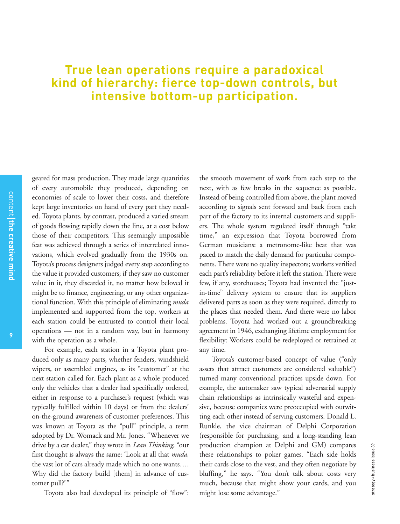### **True lean operations require a paradoxical kind of hierarchy: fierce top-down controls, but intensive bottom-up participation.**

**9**

geared for mass production. They made large quantities of every automobile they produced, depending on economies of scale to lower their costs, and therefore kept large inventories on hand of every part they needed. Toyota plants, by contrast, produced a varied stream of goods flowing rapidly down the line, at a cost below those of their competitors. This seemingly impossible feat was achieved through a series of interrelated innovations, which evolved gradually from the 1930s on. Toyota's process designers judged every step according to the value it provided customers; if they saw no customer value in it, they discarded it, no matter how beloved it might be to finance, engineering, or any other organizational function. With this principle of eliminating *muda* implemented and supported from the top, workers at each station could be entrusted to control their local operations — not in a random way, but in harmony with the operation as a whole.

For example, each station in a Toyota plant produced only as many parts, whether fenders, windshield wipers, or assembled engines, as its "customer" at the next station called for. Each plant as a whole produced only the vehicles that a dealer had specifically ordered, either in response to a purchaser's request (which was typically fulfilled within 10 days) or from the dealers' on-the-ground awareness of customer preferences. This was known at Toyota as the "pull" principle, a term adopted by Dr. Womack and Mr. Jones. "Whenever we drive by a car dealer," they wrote in *Lean Thinking,* "our first thought is always the same: 'Look at all that *muda,* the vast lot of cars already made which no one wants…. Why did the factory build [them] in advance of customer pull?'"

Toyota also had developed its principle of "flow":

the smooth movement of work from each step to the next, with as few breaks in the sequence as possible. Instead of being controlled from above, the plant moved according to signals sent forward and back from each part of the factory to its internal customers and suppliers. The whole system regulated itself through "takt time," an expression that Toyota borrowed from German musicians: a metronome-like beat that was paced to match the daily demand for particular components. There were no quality inspectors; workers verified each part's reliability before it left the station. There were few, if any, storehouses; Toyota had invented the "justin-time" delivery system to ensure that its suppliers delivered parts as soon as they were required, directly to the places that needed them. And there were no labor problems. Toyota had worked out a groundbreaking agreement in 1946, exchanging lifetime employment for flexibility: Workers could be redeployed or retrained at any time.

Toyota's customer-based concept of value ("only assets that attract customers are considered valuable") turned many conventional practices upside down. For example, the automaker saw typical adversarial supply chain relationships as intrinsically wasteful and expensive, because companies were preoccupied with outwitting each other instead of serving customers. Donald L. Runkle, the vice chairman of Delphi Corporation (responsible for purchasing, and a long-standing lean production champion at Delphi and GM) compares these relationships to poker games. "Each side holds their cards close to the vest, and they often negotiate by bluffing," he says. "You don't talk about costs very much, because that might show your cards, and you might lose some advantage."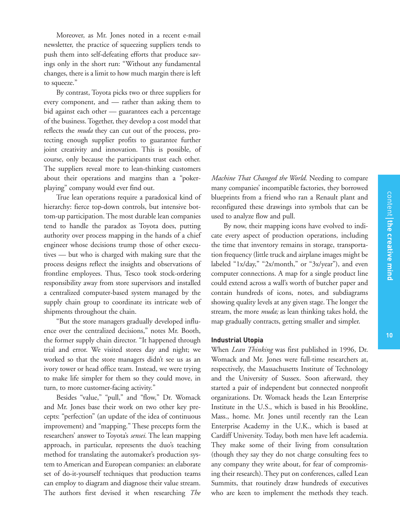Moreover, as Mr. Jones noted in a recent e-mail newsletter, the practice of squeezing suppliers tends to push them into self-defeating efforts that produce savings only in the short run: "Without any fundamental changes, there is a limit to how much margin there is left to squeeze."

By contrast, Toyota picks two or three suppliers for every component, and — rather than asking them to bid against each other — guarantees each a percentage of the business. Together, they develop a cost model that reflects the *muda* they can cut out of the process, protecting enough supplier profits to guarantee further joint creativity and innovation. This is possible, of course, only because the participants trust each other. The suppliers reveal more to lean-thinking customers about their operations and margins than a "pokerplaying" company would ever find out.

True lean operations require a paradoxical kind of hierarchy: fierce top-down controls, but intensive bottom-up participation. The most durable lean companies tend to handle the paradox as Toyota does, putting authority over process mapping in the hands of a chief engineer whose decisions trump those of other executives — but who is charged with making sure that the process designs reflect the insights and observations of frontline employees. Thus, Tesco took stock-ordering responsibility away from store supervisors and installed a centralized computer-based system managed by the supply chain group to coordinate its intricate web of shipments throughout the chain.

"But the store managers gradually developed influence over the centralized decisions," notes Mr. Booth, the former supply chain director. "It happened through trial and error. We visited stores day and night; we worked so that the store managers didn't see us as an ivory tower or head office team. Instead, we were trying to make life simpler for them so they could move, in turn, to more customer-facing activity."

Besides "value," "pull," and "flow," Dr. Womack and Mr. Jones base their work on two other key precepts: "perfection" (an update of the idea of continuous improvement) and "mapping." These precepts form the researchers' answer to Toyota's *sensei.* The lean mapping approach, in particular, represents the duo's teaching method for translating the automaker's production system to American and European companies: an elaborate set of do-it-yourself techniques that production teams can employ to diagram and diagnose their value stream. The authors first devised it when researching *The* *Machine That Changed the World.* Needing to compare many companies' incompatible factories, they borrowed blueprints from a friend who ran a Renault plant and reconfigured these drawings into symbols that can be used to analyze flow and pull.

By now, their mapping icons have evolved to indicate every aspect of production operations, including the time that inventory remains in storage, transportation frequency (little truck and airplane images might be labeled "1x/day," "2x/month," or "3x/year"), and even computer connections. A map for a single product line could extend across a wall's worth of butcher paper and contain hundreds of icons, notes, and subdiagrams showing quality levels at any given stage. The longer the stream, the more *muda;* as lean thinking takes hold, the map gradually contracts, getting smaller and simpler.

#### **Industrial Utopia**

When *Lean Thinking* was first published in 1996, Dr. Womack and Mr. Jones were full-time researchers at, respectively, the Massachusetts Institute of Technology and the University of Sussex. Soon afterward, they started a pair of independent but connected nonprofit organizations. Dr. Womack heads the Lean Enterprise Institute in the U.S., which is based in his Brookline, Mass., home. Mr. Jones until recently ran the Lean Enterprise Academy in the U.K., which is based at Cardiff University. Today, both men have left academia. They make some of their living from consultation (though they say they do not charge consulting fees to any company they write about, for fear of compromising their research). They put on conferences, called Lean Summits, that routinely draw hundreds of executives who are keen to implement the methods they teach.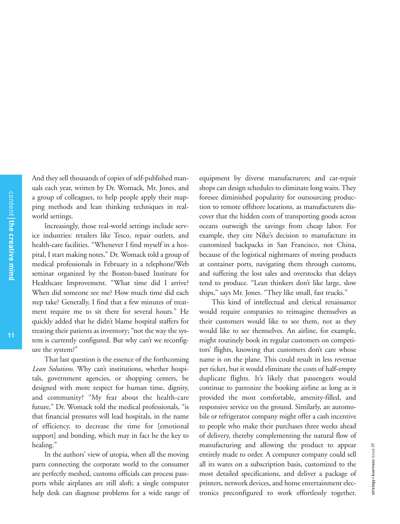And they sell thousands of copies of self-published manuals each year, written by Dr. Womack, Mr. Jones, and a group of colleagues, to help people apply their mapping methods and lean thinking techniques in realworld settings.

Increasingly, those real-world settings include service industries: retailers like Tesco, repair outlets, and health-care facilities. "Whenever I find myself in a hospital, I start making notes," Dr. Womack told a group of medical professionals in February in a telephone/Web seminar organized by the Boston-based Institute for Healthcare Improvement. "What time did I arrive? When did someone see me? How much time did each step take? Generally, I find that a few minutes of treatment require me to sit there for several hours." He quickly added that he didn't blame hospital staffers for treating their patients as inventory; "not the way the system is currently configured. But why can't we reconfigure the system?"

That last question is the essence of the forthcoming *Lean Solutions.* Why can't institutions, whether hospitals, government agencies, or shopping centers, be designed with more respect for human time, dignity, and community? "My fear about the health-care future," Dr. Womack told the medical professionals, "is that financial pressures will lead hospitals, in the name of efficiency, to decrease the time for [emotional support] and bonding, which may in fact be the key to healing."

In the authors' view of utopia, when all the moving parts connecting the corporate world to the consumer are perfectly meshed, customs officials can process passports while airplanes are still aloft; a single computer help desk can diagnose problems for a wide range of

equipment by diverse manufacturers; and car-repair shops can design schedules to eliminate long waits. They foresee diminished popularity for outsourcing production to remote offshore locations, as manufacturers discover that the hidden costs of transporting goods across oceans outweigh the savings from cheap labor. For example, they cite Nike's decision to manufacture its customized backpacks in San Francisco, not China, because of the logistical nightmares of storing products at container ports, navigating them through customs, and suffering the lost sales and overstocks that delays tend to produce. "Lean thinkers don't like large, slow ships," says Mr. Jones. "They like small, fast trucks."

This kind of intellectual and clerical renaissance would require companies to reimagine themselves as their customers would like to see them, not as they would like to see themselves. An airline, for example, might routinely book its regular customers on competitors' flights, knowing that customers don't care whose name is on the plane. This could result in less revenue per ticket, but it would eliminate the costs of half-empty duplicate flights. It's likely that passengers would continue to patronize the booking airline as long as it provided the most comfortable, amenity-filled, and responsive service on the ground. Similarly, an automobile or refrigerator company might offer a cash incentive to people who make their purchases three weeks ahead of delivery, thereby complementing the natural flow of manufacturing and allowing the product to appear entirely made to order. A computer company could sell all its wares on a subscription basis, customized to the most detailed specifications, and deliver a package of printers, network devices, and home entertainment electronics preconfigured to work effortlessly together.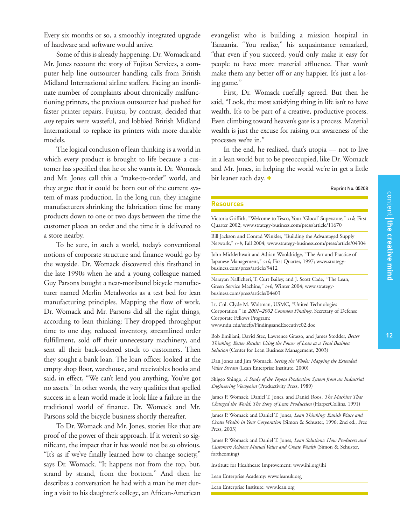Every six months or so, a smoothly integrated upgrade of hardware and software would arrive.

Some of this is already happening. Dr. Womack and Mr. Jones recount the story of Fujitsu Services, a computer help line outsourcer handling calls from British Midland International airline staffers. Facing an inordinate number of complaints about chronically malfunctioning printers, the previous outsourcer had pushed for faster printer repairs. Fujitsu, by contrast, decided that *any* repairs were wasteful, and lobbied British Midland International to replace its printers with more durable models.

The logical conclusion of lean thinking is a world in which every product is brought to life because a customer has specified that he or she wants it. Dr. Womack and Mr. Jones call this a "make-to-order" world, and they argue that it could be born out of the current system of mass production. In the long run, they imagine manufacturers shrinking the fabrication time for many products down to one or two days between the time the customer places an order and the time it is delivered to a store nearby.

To be sure, in such a world, today's conventional notions of corporate structure and finance would go by the wayside. Dr. Womack discovered this firsthand in the late 1990s when he and a young colleague named Guy Parsons bought a near-moribund bicycle manufacturer named Merlin Metalworks as a test bed for lean manufacturing principles. Mapping the flow of work, Dr. Womack and Mr. Parsons did all the right things, according to lean thinking: They dropped throughput time to one day, reduced inventory, streamlined order fulfillment, sold off their unnecessary machinery, and sent all their back-ordered stock to customers. Then they sought a bank loan. The loan officer looked at the empty shop floor, warehouse, and receivables books and said, in effect, "We can't lend you anything. You've got no assets." In other words, the very qualities that spelled success in a lean world made it look like a failure in the traditional world of finance. Dr. Womack and Mr. Parsons sold the bicycle business shortly thereafter.

To Dr. Womack and Mr. Jones, stories like that are proof of the power of their approach. If it weren't so significant, the impact that it has would not be so obvious. "It's as if we've finally learned how to change society," says Dr. Womack. "It happens not from the top, but, strand by strand, from the bottom." And then he describes a conversation he had with a man he met during a visit to his daughter's college, an African-American evangelist who is building a mission hospital in Tanzania. "You realize," his acquaintance remarked, "that even if you succeed, you'd only make it easy for people to have more material affluence. That won't make them any better off or any happier. It's just a losing game."

First, Dr. Womack ruefully agreed. But then he said, "Look, the most satisfying thing in life isn't to have wealth. It's to be part of a creative, productive process. Even climbing toward heaven's gate is a process. Material wealth is just the excuse for raising our awareness of the processes we're in."

In the end, he realized, that's utopia — not to live in a lean world but to be preoccupied, like Dr. Womack and Mr. Jones, in helping the world we're in get a little bit leaner each day. **+**

#### Reprint No. 05208

#### **Resources**

Victoria Griffith, "Welcome to Tesco, Your 'Glocal' Superstore," *s+b*, First Quarter 2002; www.strategy-business.com/press/article/11670 Bill Jackson and Conrad Winkler, "Building the Advantaged Supply Network," *s+b*, Fall 2004; www.strategy-business.com/press/article/04304 John Micklethwait and Adrian Wooldridge, "The Art and Practice of Japanese Management," *s+b*, First Quarter, 1997; www.strategybusiness.com/press/article/9412 Narayan Nallicheri, T. Curt Bailey, and J. Scott Cade, "The Lean, Green Service Machine," *s+b*, Winter 2004; www.strategybusiness.com/press/article/04403 Lt. Col. Clyde M. Woltman, USMC, "United Technologies Corporation," in *2001–2002 Common Findings,* Secretary of Defense Corporate Fellows Program; www.ndu.edu/sdcfp/FindingsandExecutive02.doc Bob Emiliani, David Stec, Lawrence Grasso, and James Stodder, *Better Thinking, Better Results: Using the Power of Lean as a Total Business Solution* (Center for Lean Business Management, 2003)

Dan Jones and Jim Womack, *Seeing the Whole: Mapping the Extended Value Stream* (Lean Enterprise Institute, 2000)

Shigeo Shingo, *A Study of the Toyota Production System from an Industrial Engineering Viewpoint* (Productivity Press, 1989)

James P. Womack, Daniel T. Jones, and Daniel Roos, *The Machine That Changed the World: The Story of Lean Production* (HarperCollins, 1991)

James P. Womack and Daniel T. Jones, *Lean Thinking: Banish Waste and Create Wealth in Your Corporation* (Simon & Schuster, 1996; 2nd ed., Free Press, 2003)

James P. Womack and Daniel T. Jones, *Lean Solutions: How Producers and Customers Achieve Mutual Value and Create Wealth* (Simon & Schuster, forthcoming)

Institute for Healthcare Improvement: www.ihi.org/ihi

Lean Enterprise Academy: www.leanuk.org

Lean Enterprise Institute: www.lean.org